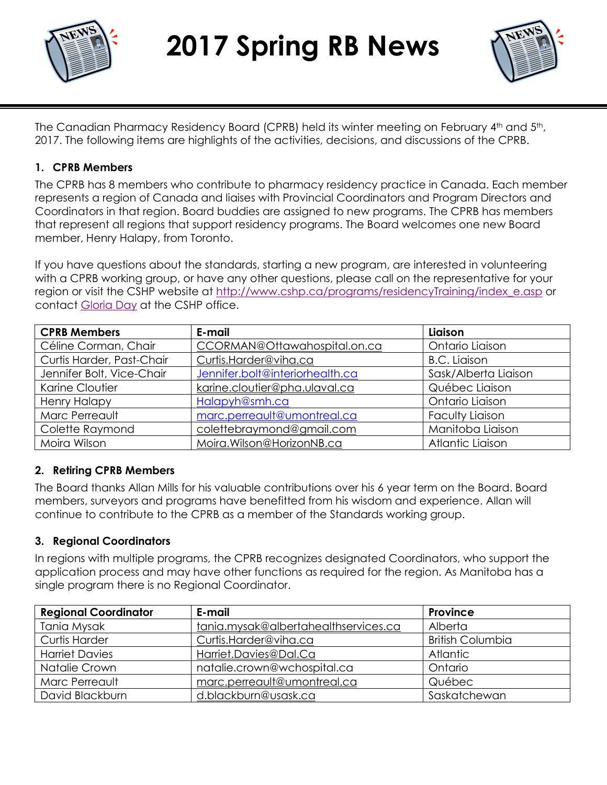

**2017 Spring RB News**



The Canadian Pharmacy Residency Board (CPRB) held its winter meeting on February 4th and 5th, 2017. The following items are highlights of the activities, decisions, and discussions of the CPRB.

#### **1. CPRB Members**

The CPRB has 8 members who contribute to pharmacy residency practice in Canada. Each member represents a region of Canada and liaises with Provincial Coordinators and Program Directors and Coordinators in that region. Board buddies are assigned to new programs. The CPRB has members that represent all regions that support residency programs. The Board welcomes one new Board member, Henry Halapy, from Toronto.

If you have questions about the standards, starting a new program, are interested in volunteering with a CPRB working group, or have any other questions, please call on the representative for your region or visit the CSHP website at [http://www.cshp.ca/programs/residencyTraining/index\\_e.asp](http://www.cshp.ca/programs/residencyTraining/index_e.asp) or contact [Gloria Day](mailto:gday@cshp.ca) at the CSHP office.

| <b>CPRB Members</b>       | E-mail                          | Liaison                |
|---------------------------|---------------------------------|------------------------|
| Céline Corman, Chair      | CCORMAN@Ottawahospital.on.ca    | Ontario Liaison        |
| Curtis Harder, Past-Chair | Curtis.Harder@viha.ca           | <b>B.C.</b> Liaison    |
| Jennifer Bolt, Vice-Chair | Jennifer.bolt@interiorhealth.ca | Sask/Alberta Liaison   |
| Karine Cloutier           | karine.cloutier@pha.ulaval.ca   | Québec Liaison         |
| <b>Henry Halapy</b>       | Halapyh@smh.ca                  | Ontario Liaison        |
| Marc Perreault            | marc.perreault@umontreal.ca     | <b>Faculty Liaison</b> |
| Colette Raymond           | colettebraymond@gmail.com       | Manitoba Liaison       |
| Moira Wilson              | Moira.Wilson@HorizonNB.ca       | Atlantic Liaison       |

### **2. Retiring CPRB Members**

The Board thanks Allan Mills for his valuable contributions over his 6 year term on the Board. Board members, surveyors and programs have benefitted from his wisdom and experience. Allan will continue to contribute to the CPRB as a member of the Standards working group.

#### **3. Regional Coordinators**

In regions with multiple programs, the CPRB recognizes designated Coordinators, who support the application process and may have other functions as required for the region. As Manitoba has a single program there is no Regional Coordinator.

| <b>Regional Coordinator</b> | E-mail                               | Province                |
|-----------------------------|--------------------------------------|-------------------------|
| Tania Mysak                 | tania.mysak@albertahealthservices.ca | Alberta                 |
| <b>Curtis Harder</b>        | Curtis.Harder@viha.ca                | <b>British Columbia</b> |
| <b>Harriet Davies</b>       | Harriet.Davies@Dal.Ca                | <b>Atlantic</b>         |
| Natalie Crown               | natalie.crown@wchospital.ca          | Ontario                 |
| Marc Perreault              | marc.perreault@umontreal.ca          | Québec                  |
| David Blackburn             | d.blackburn@usask.ca                 | Saskatchewan            |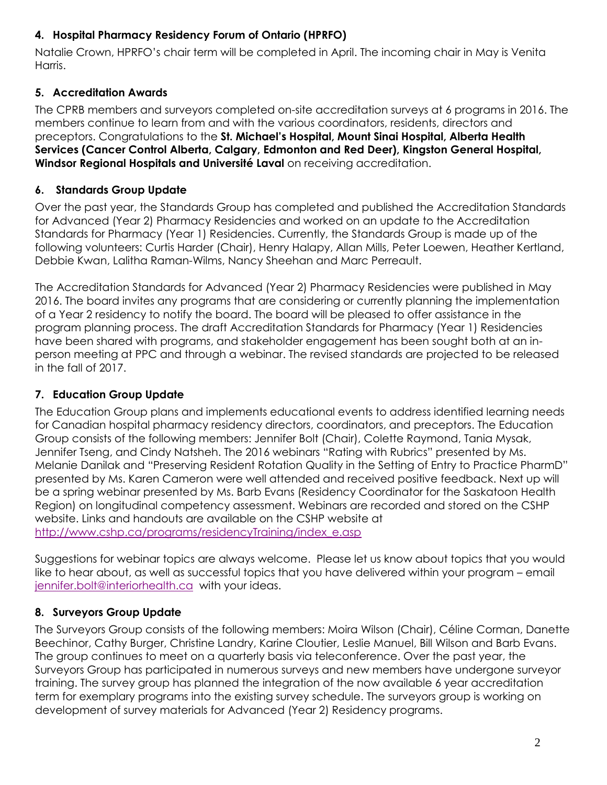# **4. Hospital Pharmacy Residency Forum of Ontario (HPRFO)**

Natalie Crown, HPRFO's chair term will be completed in April. The incoming chair in May is Venita Harris.

# **5. Accreditation Awards**

The CPRB members and surveyors completed on-site accreditation surveys at 6 programs in 2016. The members continue to learn from and with the various coordinators, residents, directors and preceptors. Congratulations to the **St. Michael's Hospital, Mount Sinai Hospital, Alberta Health Services (Cancer Control Alberta, Calgary, Edmonton and Red Deer), Kingston General Hospital, Windsor Regional Hospitals and Université Laval** on receiving accreditation.

# **6. Standards Group Update**

Over the past year, the Standards Group has completed and published the Accreditation Standards for Advanced (Year 2) Pharmacy Residencies and worked on an update to the Accreditation Standards for Pharmacy (Year 1) Residencies. Currently, the Standards Group is made up of the following volunteers: Curtis Harder (Chair), Henry Halapy, Allan Mills, Peter Loewen, Heather Kertland, Debbie Kwan, Lalitha Raman-Wilms, Nancy Sheehan and Marc Perreault.

The Accreditation Standards for Advanced (Year 2) Pharmacy Residencies were published in May 2016. The board invites any programs that are considering or currently planning the implementation of a Year 2 residency to notify the board. The board will be pleased to offer assistance in the program planning process. The draft Accreditation Standards for Pharmacy (Year 1) Residencies have been shared with programs, and stakeholder engagement has been sought both at an inperson meeting at PPC and through a webinar. The revised standards are projected to be released in the fall of 2017.

# **7. Education Group Update**

The Education Group plans and implements educational events to address identified learning needs for Canadian hospital pharmacy residency directors, coordinators, and preceptors. The Education Group consists of the following members: Jennifer Bolt (Chair), Colette Raymond, Tania Mysak, Jennifer Tseng, and Cindy Natsheh. The 2016 webinars "Rating with Rubrics" presented by Ms. Melanie Danilak and "Preserving Resident Rotation Quality in the Setting of Entry to Practice PharmD" presented by Ms. Karen Cameron were well attended and received positive feedback. Next up will be a spring webinar presented by Ms. Barb Evans (Residency Coordinator for the Saskatoon Health Region) on longitudinal competency assessment. Webinars are recorded and stored on the CSHP website. Links and handouts are available on the CSHP website at [http://www.cshp.ca/programs/residencyTraining/index\\_e.asp](http://www.cshp.ca/programs/residencyTraining/index_e.asp)

Suggestions for webinar topics are always welcome. Please let us know about topics that you would like to hear about, as well as successful topics that you have delivered within your program – email [jennifer.bolt@interiorhealth.ca](mailto:jennifer.bolt@interiorhealth.ca) with your ideas.

# **8. Surveyors Group Update**

The Surveyors Group consists of the following members: Moira Wilson (Chair), Céline Corman, Danette Beechinor, Cathy Burger, Christine Landry, Karine Cloutier, Leslie Manuel, Bill Wilson and Barb Evans. The group continues to meet on a quarterly basis via teleconference. Over the past year, the Surveyors Group has participated in numerous surveys and new members have undergone surveyor training. The survey group has planned the integration of the now available 6 year accreditation term for exemplary programs into the existing survey schedule. The surveyors group is working on development of survey materials for Advanced (Year 2) Residency programs.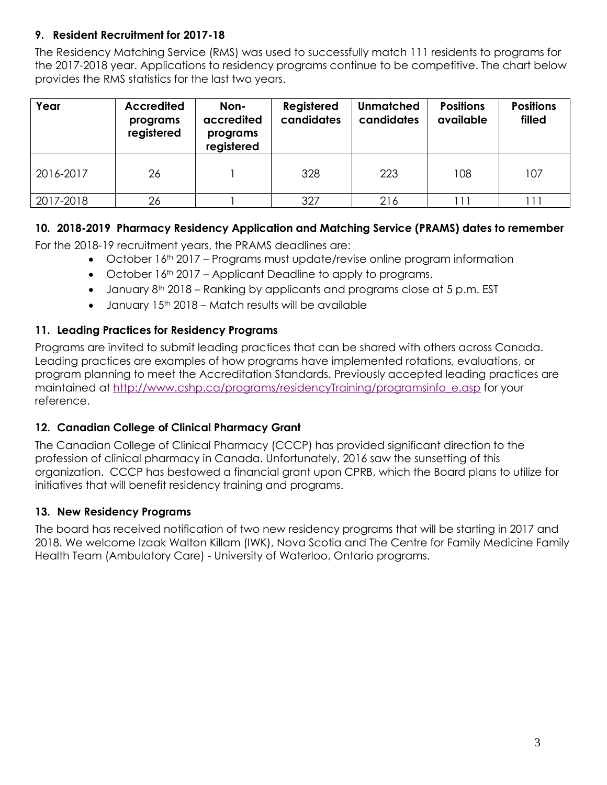# **9. Resident Recruitment for 2017-18**

The Residency Matching Service (RMS) was used to successfully match 111 residents to programs for the 2017-2018 year. Applications to residency programs continue to be competitive. The chart below provides the RMS statistics for the last two years.

| Year      | <b>Accredited</b><br>programs<br>registered | Non-<br>accredited<br>programs<br>registered | Registered<br>candidates | <b>Unmatched</b><br>candidates | <b>Positions</b><br>available | <b>Positions</b><br>filled |
|-----------|---------------------------------------------|----------------------------------------------|--------------------------|--------------------------------|-------------------------------|----------------------------|
| 2016-2017 | 26                                          |                                              | 328                      | 223                            | 108                           | 107                        |
| 2017-2018 | 26                                          |                                              | 327                      | 216                            |                               |                            |

## **10. 2018-2019 Pharmacy Residency Application and Matching Service (PRAMS) dates to remember**

For the 2018-19 recruitment years, the PRAMS deadlines are:

- $\bullet$  October 16<sup>th</sup> 2017 Programs must update/revise online program information
- $\bullet$  October 16<sup>th</sup> 2017 Applicant Deadline to apply to programs.
- January 8<sup>th</sup> 2018 Ranking by applicants and programs close at 5 p.m. EST
- $\bullet$  January 15<sup>th</sup> 2018 Match results will be available

### **11. Leading Practices for Residency Programs**

Programs are invited to submit leading practices that can be shared with others across Canada. Leading practices are examples of how programs have implemented rotations, evaluations, or program planning to meet the Accreditation Standards. Previously accepted leading practices are maintained at [http://www.cshp.ca/programs/residencyTraining/programsinfo\\_e.asp](http://www.cshp.ca/programs/residencyTraining/programsinfo_e.asp) for your reference.

### **12. Canadian College of Clinical Pharmacy Grant**

The Canadian College of Clinical Pharmacy (CCCP) has provided significant direction to the profession of clinical pharmacy in Canada. Unfortunately, 2016 saw the sunsetting of this organization. CCCP has bestowed a financial grant upon CPRB, which the Board plans to utilize for initiatives that will benefit residency training and programs.

### **13. New Residency Programs**

The board has received notification of two new residency programs that will be starting in 2017 and 2018. We welcome Izaak Walton Killam (IWK), Nova Scotia and The Centre for Family Medicine Family Health Team (Ambulatory Care) - University of Waterloo, Ontario programs.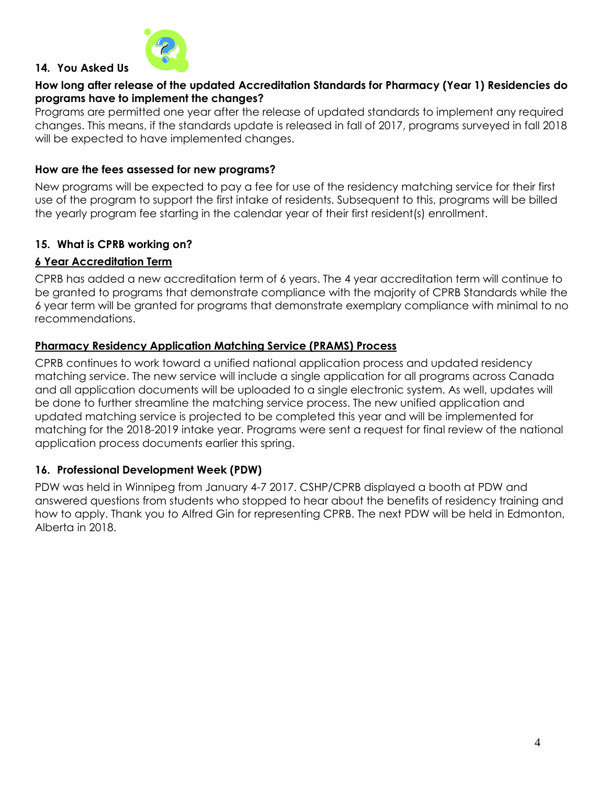

#### **14. You Asked Us**

#### **How long after release of the updated Accreditation Standards for Pharmacy (Year 1) Residencies do programs have to implement the changes?**

Programs are permitted one year after the release of updated standards to implement any required changes. This means, if the standards update is released in fall of 2017, programs surveyed in fall 2018 will be expected to have implemented changes.

#### **How are the fees assessed for new programs?**

New programs will be expected to pay a fee for use of the residency matching service for their first use of the program to support the first intake of residents. Subsequent to this, programs will be billed the yearly program fee starting in the calendar year of their first resident(s) enrollment.

#### **15. What is CPRB working on?**

#### **6 Year Accreditation Term**

CPRB has added a new accreditation term of 6 years. The 4 year accreditation term will continue to be granted to programs that demonstrate compliance with the majority of CPRB Standards while the 6 year term will be granted for programs that demonstrate exemplary compliance with minimal to no recommendations.

#### **Pharmacy Residency Application Matching Service (PRAMS) Process**

CPRB continues to work toward a unified national application process and updated residency matching service. The new service will include a single application for all programs across Canada and all application documents will be uploaded to a single electronic system. As well, updates will be done to further streamline the matching service process. The new unified application and updated matching service is projected to be completed this year and will be implemented for matching for the 2018-2019 intake year. Programs were sent a request for final review of the national application process documents earlier this spring.

#### **16. Professional Development Week (PDW)**

PDW was held in Winnipeg from January 4-7 2017. CSHP/CPRB displayed a booth at PDW and answered questions from students who stopped to hear about the benefits of residency training and how to apply. Thank you to Alfred Gin for representing CPRB. The next PDW will be held in Edmonton, Alberta in 2018.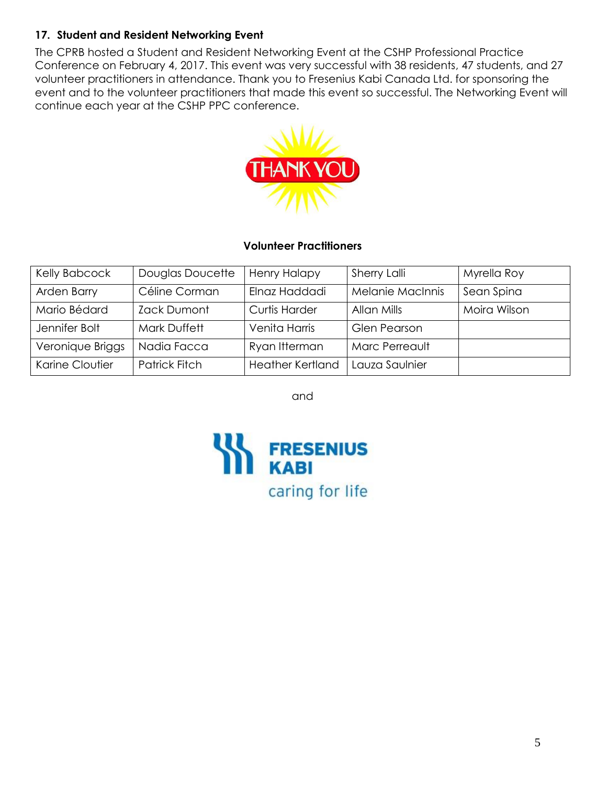# **17. Student and Resident Networking Event**

The CPRB hosted a Student and Resident Networking Event at the CSHP Professional Practice Conference on February 4, 2017. This event was very successful with 38 residents, 47 students, and 27 volunteer practitioners in attendance. Thank you to Fresenius Kabi Canada Ltd. for sponsoring the event and to the volunteer practitioners that made this event so successful. The Networking Event will continue each year at the CSHP PPC conference.



#### **Volunteer Practitioners**

| Kelly Babcock    | Douglas Doucette     | <b>Henry Halapy</b>     | Sherry Lalli            | Myrella Roy  |
|------------------|----------------------|-------------------------|-------------------------|--------------|
| Arden Barry      | Céline Corman        | Elnaz Haddadi           | <b>Melanie MacInnis</b> | Sean Spina   |
| Mario Bédard     | Zack Dumont          | <b>Curtis Harder</b>    | Allan Mills             | Moira Wilson |
| Jennifer Bolt    | Mark Duffett         | Venita Harris           | <b>Glen Pearson</b>     |              |
| Veronique Briggs | Nadia Facca          | Ryan Itterman           | Marc Perreault          |              |
| Karine Cloutier  | <b>Patrick Fitch</b> | <b>Heather Kertland</b> | Lauza Saulnier          |              |

and